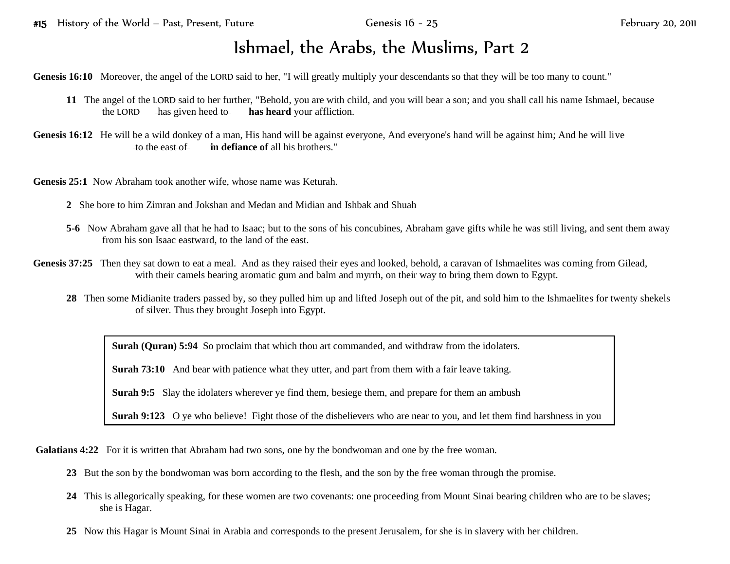## Ishmael, the Arabs, the Muslims, Part 2

Genesis 16:10 Moreover, the angel of the LORD said to her, "I will greatly multiply your descendants so that they will be too many to count."

- **11** The angel of the LORD said to her further, "Behold, you are with child, and you will bear a son; and you shall call his name Ishmael, because the LORD has given heed to has heard your affliction.
- Genesis 16:12 He will be a wild donkey of a man, His hand will be against everyone, And everyone's hand will be against him; And he will live to the east of **in defiance of** all his brothers."

**Genesis 25:1** Now Abraham took another wife, whose name was Keturah.

- **2** She bore to him Zimran and Jokshan and Medan and Midian and Ishbak and Shuah
- **5-6** Now Abraham gave all that he had to Isaac; but to the sons of his concubines, Abraham gave gifts while he was still living, and sent them away from his son Isaac eastward, to the land of the east.
- Genesis 37:25 Then they sat down to eat a meal. And as they raised their eyes and looked, behold, a caravan of Ishmaelites was coming from Gilead, with their camels bearing aromatic gum and balm and myrrh, on their way to bring them down to Egypt.
	- **28** Then some Midianite traders passed by, so they pulled him up and lifted Joseph out of the pit, and sold him to the Ishmaelites for twenty shekels of silver. Thus they brought Joseph into Egypt.

**Surah (Quran) 5:94** So proclaim that which thou art commanded, and withdraw from the idolaters.

**Surah 73:10** And bear with patience what they utter, and part from them with a fair leave taking.

**Surah 9:5** Slay the idolaters wherever ye find them, besiege them, and prepare for them an ambush

**Surah 9:123** O ye who believe! Fight those of the disbelievers who are near to you, and let them find harshness in you

**Galatians 4:22** For it is written that Abraham had two sons, one by the bondwoman and one by the free woman.

- **23** But the son by the bondwoman was born according to the flesh, and the son by the free woman through the promise.
- **24** This is allegorically speaking, for these women are two covenants: one proceeding from Mount Sinai bearing children who are to be slaves; she is Hagar.
- **25** Now this Hagar is Mount Sinai in Arabia and corresponds to the present Jerusalem, for she is in slavery with her children.